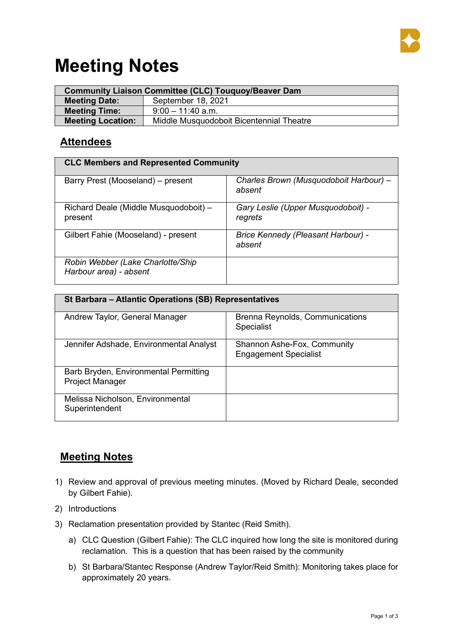

## **Meeting Notes**

| <b>Community Liaison Committee (CLC) Touquoy/Beaver Dam</b> |                                          |  |  |
|-------------------------------------------------------------|------------------------------------------|--|--|
| <b>Meeting Date:</b>                                        | September 18, 2021                       |  |  |
| <b>Meeting Time:</b>                                        | $9:00 - 11:40$ a.m.                      |  |  |
| <b>Meeting Location:</b>                                    | Middle Musquodoboit Bicentennial Theatre |  |  |

## **Attendees**

| <b>CLC Members and Represented Community</b>                |                                                  |  |  |  |
|-------------------------------------------------------------|--------------------------------------------------|--|--|--|
| Barry Prest (Mooseland) – present                           | Charles Brown (Musquodoboit Harbour) –<br>absent |  |  |  |
| Richard Deale (Middle Musquodoboit) -<br>present            | Gary Leslie (Upper Musquodoboit) -<br>regrets    |  |  |  |
| Gilbert Fahie (Mooseland) - present                         | Brice Kennedy (Pleasant Harbour) -<br>absent     |  |  |  |
| Robin Webber (Lake Charlotte/Ship<br>Harbour area) - absent |                                                  |  |  |  |

| St Barbara – Atlantic Operations (SB) Representatives    |                                                             |  |  |  |
|----------------------------------------------------------|-------------------------------------------------------------|--|--|--|
| Andrew Taylor, General Manager                           | <b>Brenna Reynolds, Communications</b><br><b>Specialist</b> |  |  |  |
| Jennifer Adshade, Environmental Analyst                  | Shannon Ashe-Fox, Community<br><b>Engagement Specialist</b> |  |  |  |
| Barb Bryden, Environmental Permitting<br>Project Manager |                                                             |  |  |  |
| Melissa Nicholson, Environmental<br>Superintendent       |                                                             |  |  |  |

## **Meeting Notes**

- 1) Review and approval of previous meeting minutes. (Moved by Richard Deale, seconded by Gilbert Fahie).
- 2) Introductions
- 3) Reclamation presentation provided by Stantec (Reid Smith).
	- a) CLC Question (Gilbert Fahie): The CLC inquired how long the site is monitored during reclamation. This is a question that has been raised by the community
	- b) St Barbara/Stantec Response (Andrew Taylor/Reid Smith): Monitoring takes place for approximately 20 years.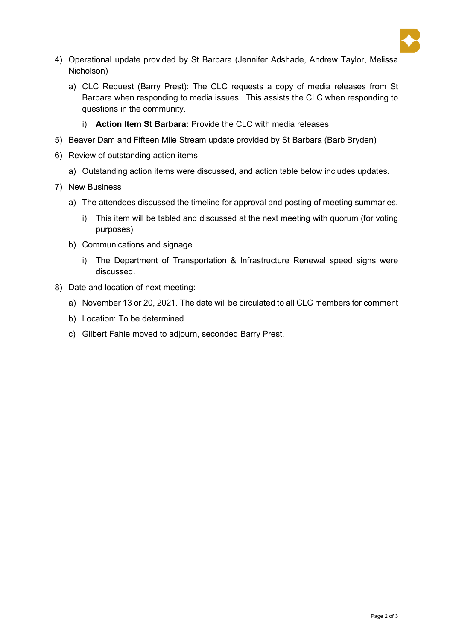

- 4) Operational update provided by St Barbara (Jennifer Adshade, Andrew Taylor, Melissa Nicholson)
	- a) CLC Request (Barry Prest): The CLC requests a copy of media releases from St Barbara when responding to media issues. This assists the CLC when responding to questions in the community.
		- i) **Action Item St Barbara:** Provide the CLC with media releases
- 5) Beaver Dam and Fifteen Mile Stream update provided by St Barbara (Barb Bryden)
- 6) Review of outstanding action items
	- a) Outstanding action items were discussed, and action table below includes updates.
- 7) New Business
	- a) The attendees discussed the timeline for approval and posting of meeting summaries.
		- i) This item will be tabled and discussed at the next meeting with quorum (for voting purposes)
	- b) Communications and signage
		- i) The Department of Transportation & Infrastructure Renewal speed signs were discussed.
- 8) Date and location of next meeting:
	- a) November 13 or 20, 2021. The date will be circulated to all CLC members for comment
	- b) Location: To be determined
	- c) Gilbert Fahie moved to adjourn, seconded Barry Prest.